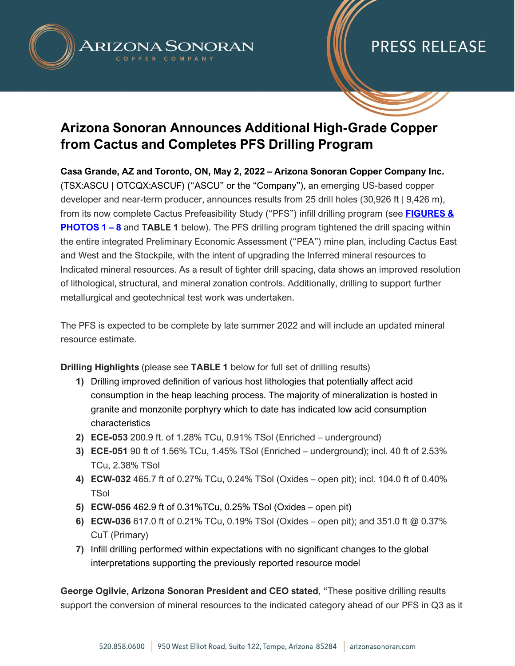

## **Arizona Sonoran Announces Additional High-Grade Copper from Cactus and Completes PFS Drilling Program**

**Casa Grande, AZ and Toronto, ON, May 2, 2022 – Arizona Sonoran Copper Company Inc.** (TSX:ASCU | OTCQX:ASCUF) ("ASCU" or the "Company"), an emerging US-based copper developer and near-term producer, announces results from 25 drill holes (30,926 ft | 9,426 m), from its now complete Cactus Prefeasibility Study ("PFS") infill drilling program (see **[FIGURES](https://arizonasonoran.com/projects/cactus-mine-project/press-release-images/) & [PHOTOS 1](https://arizonasonoran.com/projects/cactus-mine-project/press-release-images/) – 8** and **TABLE 1** below). The PFS drilling program tightened the drill spacing within the entire integrated Preliminary Economic Assessment ("PEA") mine plan, including Cactus East and West and the Stockpile, with the intent of upgrading the Inferred mineral resources to Indicated mineral resources. As a result of tighter drill spacing, data shows an improved resolution of lithological, structural, and mineral zonation controls. Additionally, drilling to support further metallurgical and geotechnical test work was undertaken.

The PFS is expected to be complete by late summer 2022 and will include an updated mineral resource estimate.

**Drilling Highlights** (please see **TABLE 1** below for full set of drilling results)

- **1)** Drilling improved definition of various host lithologies that potentially affect acid consumption in the heap leaching process. The majority of mineralization is hosted in granite and monzonite porphyry which to date has indicated low acid consumption characteristics
- **2) ECE-053** 200.9 ft. of 1.28% TCu, 0.91% TSol (Enriched underground)
- **3) ECE-051** 90 ft of 1.56% TCu, 1.45% TSol (Enriched underground); incl. 40 ft of 2.53% TCu, 2.38% TSol
- **4) ECW-032** 465.7 ft of 0.27% TCu, 0.24% TSol (Oxides open pit); incl. 104.0 ft of 0.40% **TSol**
- **5) ECW-056** 462.9 ft of 0.31%TCu, 0.25% TSol (Oxides open pit)
- **6) ECW-036** 617.0 ft of 0.21% TCu, 0.19% TSol (Oxides open pit); and 351.0 ft @ 0.37% CuT (Primary)
- **7)** Infill drilling performed within expectations with no significant changes to the global interpretations supporting the previously reported resource model

**George Ogilvie, Arizona Sonoran President and CEO stated**, "These positive drilling results support the conversion of mineral resources to the indicated category ahead of our PFS in Q3 as it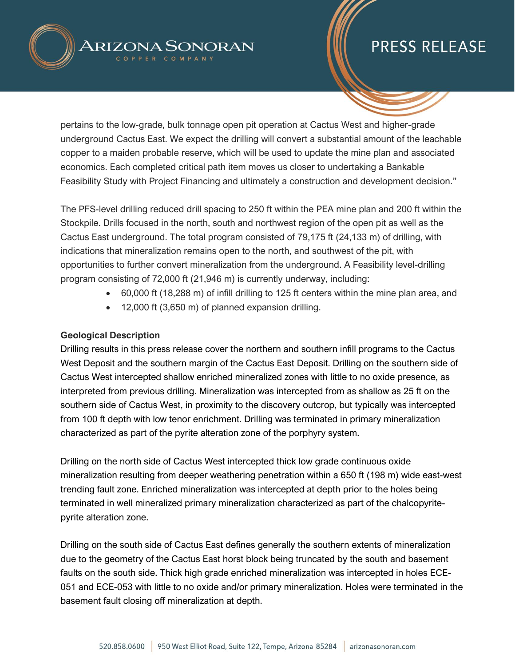

pertains to the low-grade, bulk tonnage open pit operation at Cactus West and higher-grade underground Cactus East. We expect the drilling will convert a substantial amount of the leachable copper to a maiden probable reserve, which will be used to update the mine plan and associated economics. Each completed critical path item moves us closer to undertaking a Bankable Feasibility Study with Project Financing and ultimately a construction and development decision."

The PFS-level drilling reduced drill spacing to 250 ft within the PEA mine plan and 200 ft within the Stockpile. Drills focused in the north, south and northwest region of the open pit as well as the Cactus East underground. The total program consisted of 79,175 ft (24,133 m) of drilling, with indications that mineralization remains open to the north, and southwest of the pit, with opportunities to further convert mineralization from the underground. A Feasibility level-drilling program consisting of 72,000 ft (21,946 m) is currently underway, including:

- 60,000 ft (18,288 m) of infill drilling to 125 ft centers within the mine plan area, and
- 12,000 ft (3,650 m) of planned expansion drilling.

#### **Geological Description**

Drilling results in this press release cover the northern and southern infill programs to the Cactus West Deposit and the southern margin of the Cactus East Deposit. Drilling on the southern side of Cactus West intercepted shallow enriched mineralized zones with little to no oxide presence, as interpreted from previous drilling. Mineralization was intercepted from as shallow as 25 ft on the southern side of Cactus West, in proximity to the discovery outcrop, but typically was intercepted from 100 ft depth with low tenor enrichment. Drilling was terminated in primary mineralization characterized as part of the pyrite alteration zone of the porphyry system.

Drilling on the north side of Cactus West intercepted thick low grade continuous oxide mineralization resulting from deeper weathering penetration within a 650 ft (198 m) wide east-west trending fault zone. Enriched mineralization was intercepted at depth prior to the holes being terminated in well mineralized primary mineralization characterized as part of the chalcopyritepyrite alteration zone.

Drilling on the south side of Cactus East defines generally the southern extents of mineralization due to the geometry of the Cactus East horst block being truncated by the south and basement faults on the south side. Thick high grade enriched mineralization was intercepted in holes ECE-051 and ECE-053 with little to no oxide and/or primary mineralization. Holes were terminated in the basement fault closing off mineralization at depth.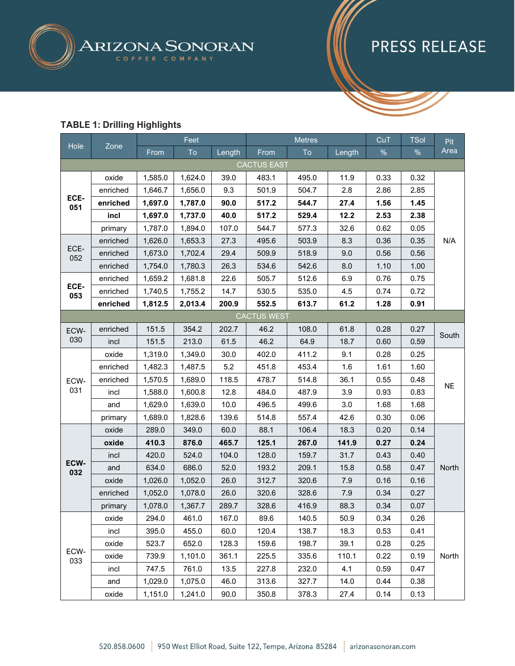

#### **TABLE 1: Drilling Highlights**

|             |          | Feet    |         | <b>Metres</b> |                    |       | CuT    | <b>TSol</b> | Pit  |           |
|-------------|----------|---------|---------|---------------|--------------------|-------|--------|-------------|------|-----------|
| Hole        | Zone     | From    | To      | Length        | From               | To    | Length | $\%$        | $\%$ | Area      |
|             |          |         |         |               | <b>CACTUS EAST</b> |       |        |             |      |           |
| ECE-<br>051 | oxide    | 1,585.0 | 1,624.0 | 39.0          | 483.1              | 495.0 | 11.9   | 0.33        | 0.32 |           |
|             | enriched | 1,646.7 | 1,656.0 | 9.3           | 501.9              | 504.7 | 2.8    | 2.86        | 2.85 |           |
|             | enriched | 1,697.0 | 1,787.0 | 90.0          | 517.2              | 544.7 | 27.4   | 1.56        | 1.45 |           |
|             | incl     | 1,697.0 | 1,737.0 | 40.0          | 517.2              | 529.4 | 12.2   | 2.53        | 2.38 |           |
|             | primary  | 1,787.0 | 1,894.0 | 107.0         | 544.7              | 577.3 | 32.6   | 0.62        | 0.05 |           |
|             | enriched | 1,626.0 | 1,653.3 | 27.3          | 495.6              | 503.9 | 8.3    | 0.36        | 0.35 | N/A       |
| ECE-<br>052 | enriched | 1,673.0 | 1,702.4 | 29.4          | 509.9              | 518.9 | 9.0    | 0.56        | 0.56 |           |
|             | enriched | 1,754.0 | 1,780.3 | 26.3          | 534.6              | 542.6 | 8.0    | 1.10        | 1.00 |           |
|             | enriched | 1,659.2 | 1,681.8 | 22.6          | 505.7              | 512.6 | 6.9    | 0.76        | 0.75 |           |
| ECE-<br>053 | enriched | 1,740.5 | 1,755.2 | 14.7          | 530.5              | 535.0 | 4.5    | 0.74        | 0.72 |           |
|             | enriched | 1,812.5 | 2,013.4 | 200.9         | 552.5              | 613.7 | 61.2   | 1.28        | 0.91 |           |
|             |          |         |         |               | <b>CACTUS WEST</b> |       |        |             |      |           |
| ECW-<br>030 | enriched | 151.5   | 354.2   | 202.7         | 46.2               | 108.0 | 61.8   | 0.28        | 0.27 | South     |
|             | incl     | 151.5   | 213.0   | 61.5          | 46.2               | 64.9  | 18.7   | 0.60        | 0.59 |           |
|             | oxide    | 1,319.0 | 1,349.0 | 30.0          | 402.0              | 411.2 | 9.1    | 0.28        | 0.25 | <b>NE</b> |
|             | enriched | 1,482.3 | 1,487.5 | 5.2           | 451.8              | 453.4 | 1.6    | 1.61        | 1.60 |           |
| ECW-        | enriched | 1,570.5 | 1,689.0 | 118.5         | 478.7              | 514.8 | 36.1   | 0.55        | 0.48 |           |
| 031         | incl     | 1,588.0 | 1,600.8 | 12.8          | 484.0              | 487.9 | 3.9    | 0.93        | 0.83 |           |
|             | and      | 1,629.0 | 1,639.0 | 10.0          | 496.5              | 499.6 | 3.0    | 1.68        | 1.68 |           |
|             | primary  | 1,689.0 | 1,828.6 | 139.6         | 514.8              | 557.4 | 42.6   | 0.30        | 0.06 |           |
|             | oxide    | 289.0   | 349.0   | 60.0          | 88.1               | 106.4 | 18.3   | 0.20        | 0.14 |           |
|             | oxide    | 410.3   | 876.0   | 465.7         | 125.1              | 267.0 | 141.9  | 0.27        | 0.24 |           |
|             | incl     | 420.0   | 524.0   | 104.0         | 128.0              | 159.7 | 31.7   | 0.43        | 0.40 |           |
| ECW-<br>032 | and      | 634.0   | 686.0   | 52.0          | 193.2              | 209.1 | 15.8   | 0.58        | 0.47 | North     |
|             | oxide    | 1,026.0 | 1,052.0 | 26.0          | 312.7              | 320.6 | 7.9    | 0.16        | 0.16 |           |
|             | enriched | 1,052.0 | 1,078.0 | 26.0          | 320.6              | 328.6 | 7.9    | 0.34        | 0.27 |           |
|             | primary  | 1,078.0 | 1,367.7 | 289.7         | 328.6              | 416.9 | 88.3   | 0.34        | 0.07 |           |
|             | oxide    | 294.0   | 461.0   | 167.0         | 89.6               | 140.5 | 50.9   | 0.34        | 0.26 |           |
|             | incl     | 395.0   | 455.0   | 60.0          | 120.4              | 138.7 | 18.3   | 0.53        | 0.41 |           |
|             | oxide    | 523.7   | 652.0   | 128.3         | 159.6              | 198.7 | 39.1   | 0.28        | 0.25 |           |
| ECW-<br>033 | oxide    | 739.9   | 1,101.0 | 361.1         | 225.5              | 335.6 | 110.1  | 0.22        | 0.19 | North     |
|             | incl     | 747.5   | 761.0   | 13.5          | 227.8              | 232.0 | 4.1    | 0.59        | 0.47 |           |
|             | and      | 1,029.0 | 1,075.0 | 46.0          | 313.6              | 327.7 | 14.0   | 0.44        | 0.38 |           |
|             | oxide    | 1,151.0 | 1,241.0 | 90.0          | 350.8              | 378.3 | 27.4   | 0.14        | 0.13 |           |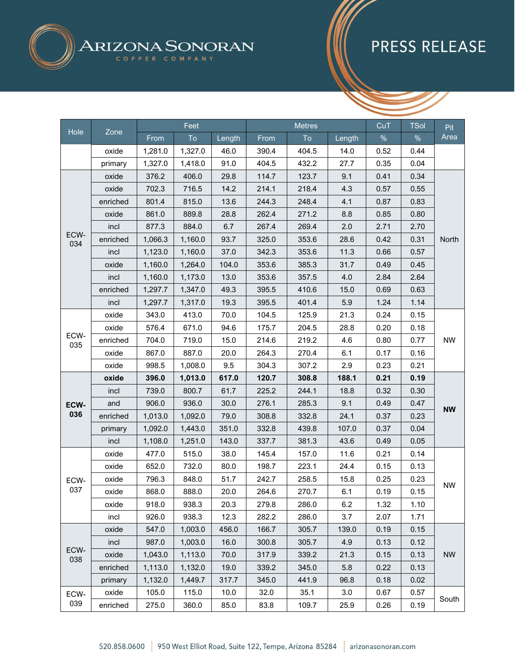

|             |          | Feet    |         |        | <b>Metres</b> |       |        | CuT  | <b>TSol</b> | Pit       |
|-------------|----------|---------|---------|--------|---------------|-------|--------|------|-------------|-----------|
| Hole        | Zone     | From    | To      | Length | From          | To    | Length | $\%$ | $\%$        | Area      |
|             | oxide    | 1,281.0 | 1,327.0 | 46.0   | 390.4         | 404.5 | 14.0   | 0.52 | 0.44        |           |
|             | primary  | 1,327.0 | 1,418.0 | 91.0   | 404.5         | 432.2 | 27.7   | 0.35 | 0.04        |           |
|             | oxide    | 376.2   | 406.0   | 29.8   | 114.7         | 123.7 | 9.1    | 0.41 | 0.34        |           |
|             | oxide    | 702.3   | 716.5   | 14.2   | 214.1         | 218.4 | 4.3    | 0.57 | 0.55        |           |
|             | enriched | 801.4   | 815.0   | 13.6   | 244.3         | 248.4 | 4.1    | 0.87 | 0.83        |           |
|             | oxide    | 861.0   | 889.8   | 28.8   | 262.4         | 271.2 | 8.8    | 0.85 | 0.80        |           |
|             | incl     | 877.3   | 884.0   | 6.7    | 267.4         | 269.4 | 2.0    | 2.71 | 2.70        |           |
| ECW-<br>034 | enriched | 1,066.3 | 1,160.0 | 93.7   | 325.0         | 353.6 | 28.6   | 0.42 | 0.31        | North     |
|             | incl     | 1,123.0 | 1,160.0 | 37.0   | 342.3         | 353.6 | 11.3   | 0.66 | 0.57        |           |
|             | oxide    | 1,160.0 | 1,264.0 | 104.0  | 353.6         | 385.3 | 31.7   | 0.49 | 0.45        |           |
|             | incl     | 1,160.0 | 1,173.0 | 13.0   | 353.6         | 357.5 | 4.0    | 2.84 | 2.64        |           |
|             | enriched | 1,297.7 | 1,347.0 | 49.3   | 395.5         | 410.6 | 15.0   | 0.69 | 0.63        |           |
|             | incl     | 1,297.7 | 1,317.0 | 19.3   | 395.5         | 401.4 | 5.9    | 1.24 | 1.14        |           |
|             | oxide    | 343.0   | 413.0   | 70.0   | 104.5         | 125.9 | 21.3   | 0.24 | 0.15        |           |
| ECW-<br>035 | oxide    | 576.4   | 671.0   | 94.6   | 175.7         | 204.5 | 28.8   | 0.20 | 0.18        |           |
|             | enriched | 704.0   | 719.0   | 15.0   | 214.6         | 219.2 | 4.6    | 0.80 | 0.77        | <b>NW</b> |
|             | oxide    | 867.0   | 887.0   | 20.0   | 264.3         | 270.4 | 6.1    | 0.17 | 0.16        |           |
|             | oxide    | 998.5   | 1,008.0 | 9.5    | 304.3         | 307.2 | 2.9    | 0.23 | 0.21        |           |
|             | oxide    | 396.0   | 1,013.0 | 617.0  | 120.7         | 308.8 | 188.1  | 0.21 | 0.19        | <b>NW</b> |
|             | incl     | 739.0   | 800.7   | 61.7   | 225.2         | 244.1 | 18.8   | 0.32 | 0.30        |           |
| ECW-        | and      | 906.0   | 936.0   | 30.0   | 276.1         | 285.3 | 9.1    | 0.49 | 0.47        |           |
| 036         | enriched | 1,013.0 | 1,092.0 | 79.0   | 308.8         | 332.8 | 24.1   | 0.37 | 0.23        |           |
|             | primary  | 1,092.0 | 1,443.0 | 351.0  | 332.8         | 439.8 | 107.0  | 0.37 | 0.04        |           |
|             | incl     | 1,108.0 | 1,251.0 | 143.0  | 337.7         | 381.3 | 43.6   | 0.49 | 0.05        |           |
|             | oxide    | 477.0   | 515.0   | 38.0   | 145.4         | 157.0 | 11.6   | 0.21 | 0.14        |           |
|             | oxide    | 652.0   | 732.0   | 80.0   | 198.7         | 223.1 | 24.4   | 0.15 | 0.13        |           |
| ECW-        | oxide    | 796.3   | 848.0   | 51.7   | 242.7         | 258.5 | 15.8   | 0.25 | 0.23        |           |
| 037         | oxide    | 868.0   | 888.0   | 20.0   | 264.6         | 270.7 | 6.1    | 0.19 | 0.15        | <b>NW</b> |
|             | oxide    | 918.0   | 938.3   | 20.3   | 279.8         | 286.0 | 6.2    | 1.32 | 1.10        |           |
|             | incl     | 926.0   | 938.3   | 12.3   | 282.2         | 286.0 | 3.7    | 2.07 | 1.71        |           |
|             | oxide    | 547.0   | 1,003.0 | 456.0  | 166.7         | 305.7 | 139.0  | 0.19 | 0.15        |           |
|             | incl     | 987.0   | 1,003.0 | 16.0   | 300.8         | 305.7 | 4.9    | 0.13 | 0.12        |           |
| ECW-<br>038 | oxide    | 1,043.0 | 1,113.0 | 70.0   | 317.9         | 339.2 | 21.3   | 0.15 | 0.13        | <b>NW</b> |
|             | enriched | 1,113.0 | 1,132.0 | 19.0   | 339.2         | 345.0 | 5.8    | 0.22 | 0.13        |           |
|             | primary  | 1,132.0 | 1,449.7 | 317.7  | 345.0         | 441.9 | 96.8   | 0.18 | 0.02        |           |
| ECW-        | oxide    | 105.0   | 115.0   | 10.0   | 32.0          | 35.1  | 3.0    | 0.67 | 0.57        |           |
| 039         | enriched | 275.0   | 360.0   | 85.0   | 83.8          | 109.7 | 25.9   | 0.26 | 0.19        | South     |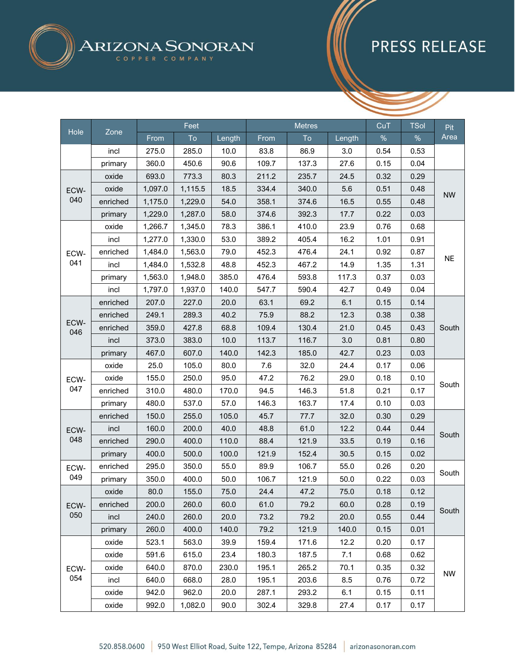

|             |          |         | Feet    |        | <b>Metres</b><br>CuT |       |        | <b>TSol</b> | Pit  |           |
|-------------|----------|---------|---------|--------|----------------------|-------|--------|-------------|------|-----------|
| Hole        | Zone     | From    | To      | Length | From                 | To    | Length | $\%$        | %    | Area      |
|             | incl     | 275.0   | 285.0   | 10.0   | 83.8                 | 86.9  | 3.0    | 0.54        | 0.53 |           |
|             | primary  | 360.0   | 450.6   | 90.6   | 109.7                | 137.3 | 27.6   | 0.15        | 0.04 |           |
| ECW-        | oxide    | 693.0   | 773.3   | 80.3   | 211.2                | 235.7 | 24.5   | 0.32        | 0.29 | <b>NW</b> |
|             | oxide    | 1,097.0 | 1,115.5 | 18.5   | 334.4                | 340.0 | 5.6    | 0.51        | 0.48 |           |
| 040         | enriched | 1,175.0 | 1,229.0 | 54.0   | 358.1                | 374.6 | 16.5   | 0.55        | 0.48 |           |
|             | primary  | 1,229.0 | 1,287.0 | 58.0   | 374.6                | 392.3 | 17.7   | 0.22        | 0.03 |           |
|             | oxide    | 1,266.7 | 1,345.0 | 78.3   | 386.1                | 410.0 | 23.9   | 0.76        | 0.68 |           |
|             | incl     | 1,277.0 | 1,330.0 | 53.0   | 389.2                | 405.4 | 16.2   | 1.01        | 0.91 |           |
| ECW-        | enriched | 1,484.0 | 1,563.0 | 79.0   | 452.3                | 476.4 | 24.1   | 0.92        | 0.87 |           |
| 041         | incl     | 1,484.0 | 1,532.8 | 48.8   | 452.3                | 467.2 | 14.9   | 1.35        | 1.31 | <b>NE</b> |
|             | primary  | 1,563.0 | 1,948.0 | 385.0  | 476.4                | 593.8 | 117.3  | 0.37        | 0.03 |           |
|             | incl     | 1,797.0 | 1,937.0 | 140.0  | 547.7                | 590.4 | 42.7   | 0.49        | 0.04 |           |
| ECW-<br>046 | enriched | 207.0   | 227.0   | 20.0   | 63.1                 | 69.2  | 6.1    | 0.15        | 0.14 | South     |
|             | enriched | 249.1   | 289.3   | 40.2   | 75.9                 | 88.2  | 12.3   | 0.38        | 0.38 |           |
|             | enriched | 359.0   | 427.8   | 68.8   | 109.4                | 130.4 | 21.0   | 0.45        | 0.43 |           |
|             | incl     | 373.0   | 383.0   | 10.0   | 113.7                | 116.7 | 3.0    | 0.81        | 0.80 |           |
|             | primary  | 467.0   | 607.0   | 140.0  | 142.3                | 185.0 | 42.7   | 0.23        | 0.03 |           |
|             | oxide    | 25.0    | 105.0   | 80.0   | 7.6                  | 32.0  | 24.4   | 0.17        | 0.06 | South     |
| ECW-        | oxide    | 155.0   | 250.0   | 95.0   | 47.2                 | 76.2  | 29.0   | 0.18        | 0.10 |           |
| 047         | enriched | 310.0   | 480.0   | 170.0  | 94.5                 | 146.3 | 51.8   | 0.21        | 0.17 |           |
|             | primary  | 480.0   | 537.0   | 57.0   | 146.3                | 163.7 | 17.4   | 0.10        | 0.03 |           |
|             | enriched | 150.0   | 255.0   | 105.0  | 45.7                 | 77.7  | 32.0   | 0.30        | 0.29 | South     |
| ECW-        | incl     | 160.0   | 200.0   | 40.0   | 48.8                 | 61.0  | 12.2   | 0.44        | 0.44 |           |
| 048         | enriched | 290.0   | 400.0   | 110.0  | 88.4                 | 121.9 | 33.5   | 0.19        | 0.16 |           |
|             | primary  | 400.0   | 500.0   | 100.0  | 121.9                | 152.4 | 30.5   | 0.15        | 0.02 |           |
| ECW-        | enriched | 295.0   | 350.0   | 55.0   | 89.9                 | 106.7 | 55.0   | 0.26        | 0.20 | South     |
| 049         | primary  | 350.0   | 400.0   | 50.0   | 106.7                | 121.9 | 50.0   | 0.22        | 0.03 |           |
|             | oxide    | 80.0    | 155.0   | 75.0   | 24.4                 | 47.2  | 75.0   | 0.18        | 0.12 |           |
| ECW-        | enriched | 200.0   | 260.0   | 60.0   | 61.0                 | 79.2  | 60.0   | 0.28        | 0.19 |           |
| 050         | incl     | 240.0   | 260.0   | 20.0   | 73.2                 | 79.2  | 20.0   | 0.55        | 0.44 | South     |
|             | primary  | 260.0   | 400.0   | 140.0  | 79.2                 | 121.9 | 140.0  | 0.15        | 0.01 |           |
|             | oxide    | 523.1   | 563.0   | 39.9   | 159.4                | 171.6 | 12.2   | 0.20        | 0.17 |           |
|             | oxide    | 591.6   | 615.0   | 23.4   | 180.3                | 187.5 | 7.1    | 0.68        | 0.62 |           |
| ECW-        | oxide    | 640.0   | 870.0   | 230.0  | 195.1                | 265.2 | 70.1   | 0.35        | 0.32 |           |
| 054         | incl     | 640.0   | 668.0   | 28.0   | 195.1                | 203.6 | 8.5    | 0.76        | 0.72 | <b>NW</b> |
|             | oxide    | 942.0   | 962.0   | 20.0   | 287.1                | 293.2 | 6.1    | 0.15        | 0.11 |           |
|             | oxide    | 992.0   | 1,082.0 | 90.0   | 302.4                | 329.8 | 27.4   | 0.17        | 0.17 |           |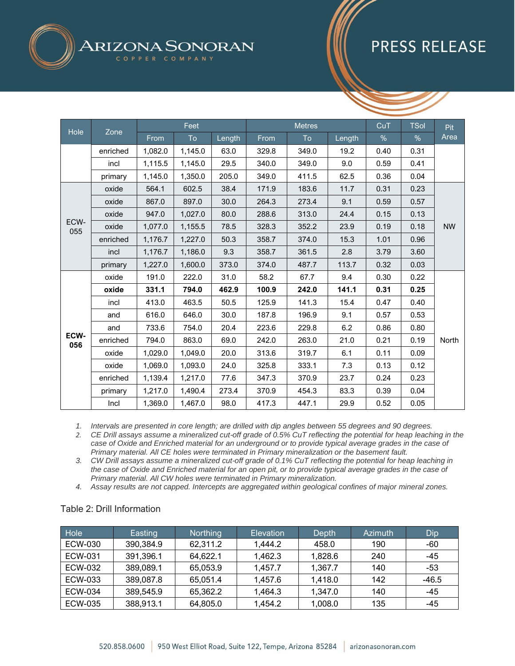# ARIZONA SONORAN

## **PRESS RELEASE**

|             |          |         | Feet    |        |       | <b>Metres</b> |        | CuT  | <b>TSol</b> | <b>Pit</b>   |
|-------------|----------|---------|---------|--------|-------|---------------|--------|------|-------------|--------------|
| Hole        | Zone     | From    | To      | Length | From  | To            | Length | %    | $\%$        | Area         |
|             | enriched | 1,082.0 | 1,145.0 | 63.0   | 329.8 | 349.0         | 19.2   | 0.40 | 0.31        |              |
|             | incl     | 1,115.5 | 1,145.0 | 29.5   | 340.0 | 349.0         | 9.0    | 0.59 | 0.41        |              |
|             | primary  | 1,145.0 | 1,350.0 | 205.0  | 349.0 | 411.5         | 62.5   | 0.36 | 0.04        |              |
|             | oxide    | 564.1   | 602.5   | 38.4   | 171.9 | 183.6         | 11.7   | 0.31 | 0.23        |              |
|             | oxide    | 867.0   | 897.0   | 30.0   | 264.3 | 273.4         | 9.1    | 0.59 | 0.57        |              |
|             | oxide    | 947.0   | 1,027.0 | 80.0   | 288.6 | 313.0         | 24.4   | 0.15 | 0.13        |              |
| ECW-<br>055 | oxide    | 1,077.0 | 1,155.5 | 78.5   | 328.3 | 352.2         | 23.9   | 0.19 | 0.18        | <b>NW</b>    |
|             | enriched | 1,176.7 | 1,227.0 | 50.3   | 358.7 | 374.0         | 15.3   | 1.01 | 0.96        |              |
|             | incl     | 1,176.7 | 1,186.0 | 9.3    | 358.7 | 361.5         | 2.8    | 3.79 | 3.60        |              |
|             | primary  | 1,227.0 | 1,600.0 | 373.0  | 374.0 | 487.7         | 113.7  | 0.32 | 0.03        |              |
|             | oxide    | 191.0   | 222.0   | 31.0   | 58.2  | 67.7          | 9.4    | 0.30 | 0.22        |              |
|             | oxide    | 331.1   | 794.0   | 462.9  | 100.9 | 242.0         | 141.1  | 0.31 | 0.25        |              |
|             | incl     | 413.0   | 463.5   | 50.5   | 125.9 | 141.3         | 15.4   | 0.47 | 0.40        |              |
|             | and      | 616.0   | 646.0   | 30.0   | 187.8 | 196.9         | 9.1    | 0.57 | 0.53        |              |
|             | and      | 733.6   | 754.0   | 20.4   | 223.6 | 229.8         | 6.2    | 0.86 | 0.80        |              |
| ECW-<br>056 | enriched | 794.0   | 863.0   | 69.0   | 242.0 | 263.0         | 21.0   | 0.21 | 0.19        | <b>North</b> |
|             | oxide    | 1,029.0 | 1,049.0 | 20.0   | 313.6 | 319.7         | 6.1    | 0.11 | 0.09        |              |
|             | oxide    | 1,069.0 | 1,093.0 | 24.0   | 325.8 | 333.1         | 7.3    | 0.13 | 0.12        |              |
|             | enriched | 1,139.4 | 1,217.0 | 77.6   | 347.3 | 370.9         | 23.7   | 0.24 | 0.23        |              |
|             | primary  | 1,217.0 | 1,490.4 | 273.4  | 370.9 | 454.3         | 83.3   | 0.39 | 0.04        |              |
|             | Incl     | 1,369.0 | 1,467.0 | 98.0   | 417.3 | 447.1         | 29.9   | 0.52 | 0.05        |              |

*1. Intervals are presented in core length; are drilled with dip angles between 55 degrees and 90 degrees.*

*2. CE Drill assays assume a mineralized cut-off grade of 0.5% CuT reflecting the potential for heap leaching in the case of Oxide and Enriched material for an underground or to provide typical average grades in the case of Primary material. All CE holes were terminated in Primary mineralization or the basement fault.*

*3. CW Drill assays assume a mineralized cut-off grade of 0.1% CuT reflecting the potential for heap leaching in the case of Oxide and Enriched material for an open pit, or to provide typical average grades in the case of Primary material. All CW holes were terminated in Primary mineralization.*

*4. Assay results are not capped. Intercepts are aggregated within geological confines of major mineral zones.*

#### Table 2: Drill Information

| Hole    | Easting   | <b>Northing</b> | Elevation | Depth   | Azimuth | Dip     |
|---------|-----------|-----------------|-----------|---------|---------|---------|
| ECW-030 | 390,384.9 | 62,311.2        | 1,444.2   | 458.0   | 190     | -60     |
| ECW-031 | 391,396.1 | 64,622.1        | 1,462.3   | 1,828.6 | 240     | $-45$   |
| ECW-032 | 389,089.1 | 65,053.9        | 1,457.7   | 1.367.7 | 140     | -53     |
| ECW-033 | 389,087.8 | 65,051.4        | 1,457.6   | 1,418.0 | 142     | $-46.5$ |
| ECW-034 | 389,545.9 | 65,362.2        | 1,464.3   | 1,347.0 | 140     | $-45$   |
| ECW-035 | 388,913.1 | 64,805.0        | 1,454.2   | 1,008.0 | 135     | -45     |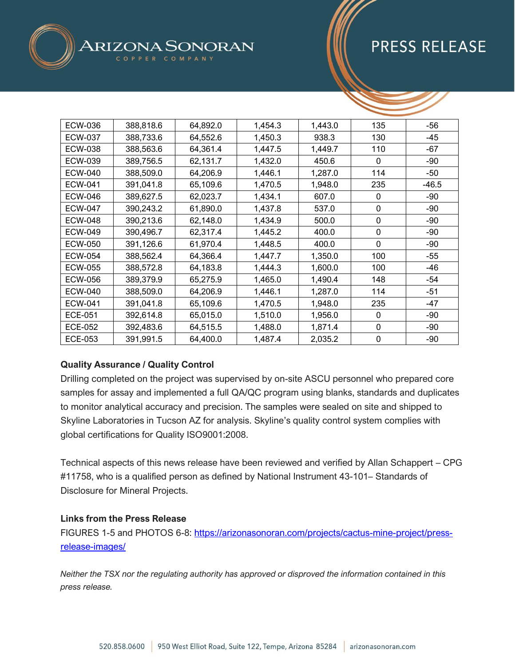| <b>ECW-036</b> | 388,818.6 | 64,892.0 | 1,454.3 | 1,443.0 | 135              | $-56$   |
|----------------|-----------|----------|---------|---------|------------------|---------|
| <b>ECW-037</b> | 388,733.6 | 64,552.6 | 1,450.3 | 938.3   | 130              | $-45$   |
| <b>ECW-038</b> | 388,563.6 | 64,361.4 | 1,447.5 | 1,449.7 | 110              | $-67$   |
| ECW-039        | 389,756.5 | 62,131.7 | 1,432.0 | 450.6   | 0                | -90     |
| <b>ECW-040</b> | 388,509.0 | 64,206.9 | 1,446.1 | 1,287.0 | 114              | -50     |
| <b>ECW-041</b> | 391,041.8 | 65,109.6 | 1,470.5 | 1,948.0 | 235              | $-46.5$ |
| <b>ECW-046</b> | 389,627.5 | 62,023.7 | 1,434.1 | 607.0   | 0                | -90     |
| <b>ECW-047</b> | 390,243.2 | 61,890.0 | 1,437.8 | 537.0   | 0                | $-90$   |
| <b>ECW-048</b> | 390,213.6 | 62,148.0 | 1,434.9 | 500.0   | $\boldsymbol{0}$ | $-90$   |
| <b>ECW-049</b> | 390,496.7 | 62,317.4 | 1,445.2 | 400.0   | $\mathbf 0$      | -90     |
| <b>ECW-050</b> | 391,126.6 | 61,970.4 | 1,448.5 | 400.0   | 0                | $-90$   |
| <b>ECW-054</b> | 388,562.4 | 64,366.4 | 1,447.7 | 1,350.0 | 100              | $-55$   |
| <b>ECW-055</b> | 388,572.8 | 64,183.8 | 1,444.3 | 1,600.0 | 100              | -46     |
| <b>ECW-056</b> | 389,379.9 | 65,275.9 | 1,465.0 | 1,490.4 | 148              | -54     |
| <b>ECW-040</b> | 388,509.0 | 64,206.9 | 1,446.1 | 1,287.0 | 114              | $-51$   |
| <b>ECW-041</b> | 391,041.8 | 65,109.6 | 1,470.5 | 1,948.0 | 235              | -47     |
| <b>ECE-051</b> | 392,614.8 | 65,015.0 | 1,510.0 | 1,956.0 | 0                | $-90$   |
| <b>ECE-052</b> | 392,483.6 | 64,515.5 | 1,488.0 | 1,871.4 | $\mathbf 0$      | $-90$   |
| <b>ECE-053</b> | 391,991.5 | 64,400.0 | 1,487.4 | 2,035.2 | $\boldsymbol{0}$ | $-90$   |

SONORAN

### **Quality Assurance / Quality Control**

ARIZ

Drilling completed on the project was supervised by on-site ASCU personnel who prepared core samples for assay and implemented a full QA/QC program using blanks, standards and duplicates to monitor analytical accuracy and precision. The samples were sealed on site and shipped to Skyline Laboratories in Tucson AZ for analysis. Skyline's quality control system complies with global certifications for Quality ISO9001:2008.

Technical aspects of this news release have been reviewed and verified by Allan Schappert – CPG #11758, who is a qualified person as defined by National Instrument 43-101– Standards of Disclosure for Mineral Projects.

#### **Links from the Press Release**

FIGURES 1-5 and PHOTOS 6-8: [https://arizonasonoran.com/projects/cactus-mine-project/press](https://arizonasonoran.com/projects/cactus-mine-project/press-release-images/)[release-images/](https://arizonasonoran.com/projects/cactus-mine-project/press-release-images/)

*Neither the TSX nor the regulating authority has approved or disproved the information contained in this press release.*